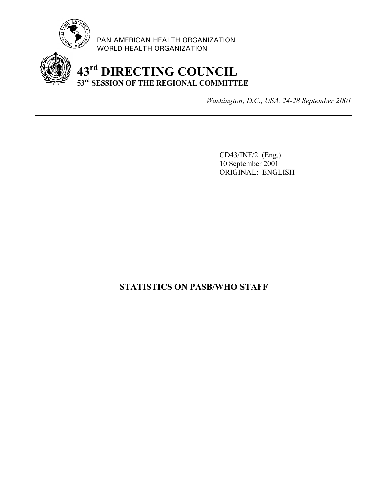

PAN AMERICAN HEALTH ORGANIZATION WORLD HEALTH ORGANIZATION



*Washington, D.C., USA, 24-28 September 2001*

CD43/INF/2 (Eng.) 10 September 2001 ORIGINAL: ENGLISH

# **STATISTICS ON PASB/WHO STAFF**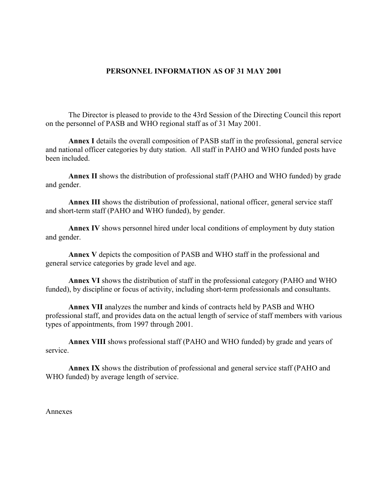# **PERSONNEL INFORMATION AS OF 31 MAY 2001**

The Director is pleased to provide to the 43rd Session of the Directing Council this report on the personnel of PASB and WHO regional staff as of 31 May 2001.

**Annex I** details the overall composition of PASB staff in the professional, general service and national officer categories by duty station. All staff in PAHO and WHO funded posts have been included.

**Annex II** shows the distribution of professional staff (PAHO and WHO funded) by grade and gender.

**Annex III** shows the distribution of professional, national officer, general service staff and short-term staff (PAHO and WHO funded), by gender.

**Annex IV** shows personnel hired under local conditions of employment by duty station and gender.

**Annex V** depicts the composition of PASB and WHO staff in the professional and general service categories by grade level and age.

**Annex VI** shows the distribution of staff in the professional category (PAHO and WHO funded), by discipline or focus of activity, including short-term professionals and consultants.

**Annex VII** analyzes the number and kinds of contracts held by PASB and WHO professional staff, and provides data on the actual length of service of staff members with various types of appointments, from 1997 through 2001.

**Annex VIII** shows professional staff (PAHO and WHO funded) by grade and years of service.

**Annex IX** shows the distribution of professional and general service staff (PAHO and WHO funded) by average length of service.

Annexes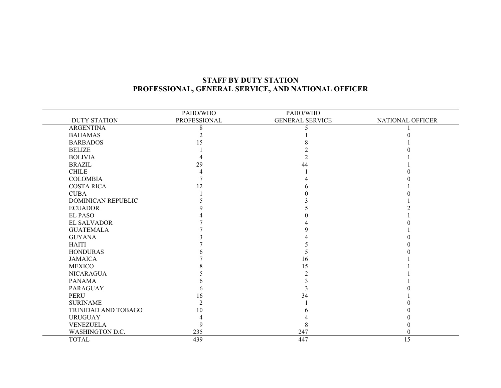# **STAFF BY DUTY STATIONPROFESSIONAL, GENERAL SERVICE, AND NATIONAL OFFICER**

|                     | PAHO/WHO       | PAHO/WHO               |                  |
|---------------------|----------------|------------------------|------------------|
| <b>DUTY STATION</b> | PROFESSIONAL   | <b>GENERAL SERVICE</b> | NATIONAL OFFICER |
| <b>ARGENTINA</b>    | 8              |                        |                  |
| <b>BAHAMAS</b>      |                |                        |                  |
| <b>BARBADOS</b>     | 15             |                        |                  |
| <b>BELIZE</b>       |                |                        |                  |
| <b>BOLIVIA</b>      |                |                        |                  |
| <b>BRAZIL</b>       | 29             | 44                     |                  |
| <b>CHILE</b>        |                |                        |                  |
| <b>COLOMBIA</b>     |                |                        |                  |
| <b>COSTA RICA</b>   | 12             |                        |                  |
| <b>CUBA</b>         |                |                        |                  |
| DOMINICAN REPUBLIC  |                |                        |                  |
| <b>ECUADOR</b>      |                |                        |                  |
| <b>EL PASO</b>      |                |                        |                  |
| <b>EL SALVADOR</b>  |                |                        |                  |
| <b>GUATEMALA</b>    |                |                        |                  |
| <b>GUYANA</b>       |                |                        |                  |
| <b>HAITI</b>        |                |                        |                  |
| <b>HONDURAS</b>     |                |                        |                  |
| <b>JAMAICA</b>      |                | 16                     |                  |
| <b>MEXICO</b>       |                | 15                     |                  |
| <b>NICARAGUA</b>    |                |                        |                  |
| <b>PANAMA</b>       |                |                        |                  |
| <b>PARAGUAY</b>     |                |                        |                  |
| <b>PERU</b>         | 16             | 34                     |                  |
| <b>SURINAME</b>     | $\overline{2}$ |                        |                  |
| TRINIDAD AND TOBAGO | 10             |                        |                  |
| <b>URUGUAY</b>      |                |                        |                  |
| VENEZUELA           | 9              |                        |                  |
| WASHINGTON D.C.     | 235            | 247                    |                  |
| <b>TOTAL</b>        | 439            | 447                    | 15               |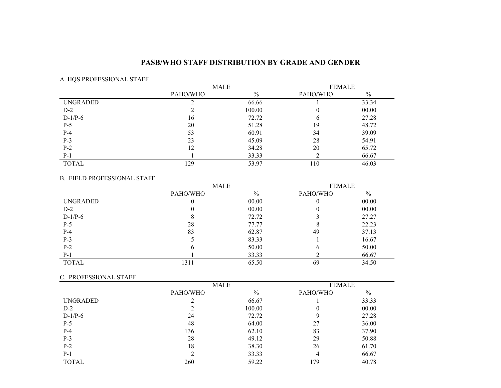### **PASB/WHO STAFF DISTRIBUTION BY GRADE AND GENDER**

### A. HQS PROFESSIONAL STAFF

|                 |          | MALE          |          | <b>FEMALE</b> |  |
|-----------------|----------|---------------|----------|---------------|--|
|                 | PAHO/WHO | $\frac{0}{0}$ | PAHO/WHO | $\%$          |  |
| <b>UNGRADED</b> |          | 66.66         |          | 33.34         |  |
| $D-2$           | ◠        | 100.00        |          | 00.00         |  |
| $D-1/P-6$       | 16       | 72.72         | b        | 27.28         |  |
| $P-5$           | 20       | 51.28         | 19       | 48.72         |  |
| $P-4$           | 53       | 60.91         | 34       | 39.09         |  |
| $P-3$           | 23       | 45.09         | 28       | 54.91         |  |
| $P-2$           | 12       | 34.28         | 20       | 65.72         |  |
| $P-1$           |          | 33.33         |          | 66.67         |  |
| <b>TOTAL</b>    | 129      | 53.97         | 110      | 46.03         |  |

#### B. FIELD PROFESSIONAL STAFF

|              | MALE     |               | <b>FEMALE</b> |       |
|--------------|----------|---------------|---------------|-------|
|              | PAHO/WHO | $\frac{0}{0}$ | PAHO/WHO      | $\%$  |
| UNGRADED     |          | 00.00         |               | 00.00 |
| $D-2$        |          | 00.00         |               | 00.00 |
| $D-1/P-6$    |          | 72.72         |               | 27.27 |
| $P-5$        | 28       | 77.77         |               | 22.23 |
| $P-4$        | 83       | 62.87         | 49            | 37.13 |
| $P-3$        |          | 83.33         |               | 16.67 |
| $P-2$        | O        | 50.00         | h             | 50.00 |
| $P-1$        |          | 33.33         |               | 66.67 |
| <b>TOTAL</b> | 1311     | 65.50         | 69            | 34.50 |

#### C. PROFESSIONAL STAFF

|                 | MALE     |        | <b>FEMALE</b> |       |
|-----------------|----------|--------|---------------|-------|
|                 | PAHO/WHO | $\%$   | PAHO/WHO      | $\%$  |
| <b>UNGRADED</b> |          | 66.67  |               | 33.33 |
| $D-2$           |          | 100.00 | 0             | 00.00 |
| $D-1/P-6$       | 24       | 72.72  | Q             | 27.28 |
| $P-5$           | 48       | 64.00  | 27            | 36.00 |
| $P-4$           | 136      | 62.10  | 83            | 37.90 |
| $P-3$           | 28       | 49.12  | 29            | 50.88 |
| $P-2$           | 18       | 38.30  | 26            | 61.70 |
| $P-1$           |          | 33.33  |               | 66.67 |
| <b>TOTAL</b>    | 260      | 59.22  | 179           | 40.78 |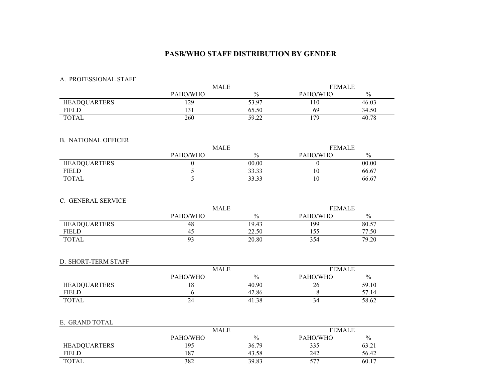### **PASB/WHO STAFF DISTRIBUTION BY GENDER**

### A. PROFESSIONAL STAFF

|                     | MALE         |                | <b>FEMALE</b> |               |  |
|---------------------|--------------|----------------|---------------|---------------|--|
|                     | PAHO/WHO     | $\%$           | PAHO/WHO      | $\frac{0}{0}$ |  |
| <b>HEADQUARTERS</b> | 129          | 53.97          | 110           | 46.03         |  |
| FIELD               | 1.21<br>13 I | 65.50          | 69            | 34.50         |  |
| <b>TOTAL</b>        | 260          | 59.22<br>ے ۔ ر | 79            | 40.78         |  |

### B. NATIONAL OFFICER

|                     | MALE     |               | <b>FEMALE</b> |               |  |
|---------------------|----------|---------------|---------------|---------------|--|
|                     | PAHO/WHO | $\frac{0}{0}$ | PAHO/WHO      | $\frac{0}{0}$ |  |
| <b>HEADQUARTERS</b> |          | 00.00         |               | 00.00         |  |
| <b>FIELD</b>        |          | 33.33         | 10            | 66.67         |  |
| <b>TOTAL</b>        |          | 33.33         | 10            | 66.67         |  |

#### C. GENERAL SERVICE

| C. OLIVERAL SERVICE |             |               |               |               |
|---------------------|-------------|---------------|---------------|---------------|
|                     | <b>MALE</b> |               | <b>FEMALE</b> |               |
|                     | PAHO/WHO    | $\frac{0}{0}$ | PAHO/WHO      | $\frac{0}{0}$ |
| <b>HEADQUARTERS</b> | 48          | 19.43         | 199           | 80.57         |
| <b>FIELD</b>        | 4:          | 22.50         | 155           | 77.50         |
| <b>TOTAL</b>        | 93          | 20.80         | 354           | 79.20         |

#### D. SHORT-TERM STAFF

|                     | <b>MALE</b> |       | <b>FEMALE</b> |               |  |
|---------------------|-------------|-------|---------------|---------------|--|
|                     | PAHO/WHO    | $\%$  | PAHO/WHO      | $\frac{0}{0}$ |  |
| <b>HEADQUARTERS</b> |             | 40.90 | ۷b            | 59.10         |  |
| FIELD               |             | 42.86 |               | 57.14         |  |
| <b>TOTAL</b>        | 24          | 41.38 | 34            | 58.62         |  |

#### E. GRAND TOTAL

| E. UNAND I UTAL     |             |               |               |               |  |
|---------------------|-------------|---------------|---------------|---------------|--|
|                     | <b>MALE</b> |               | <b>FEMALE</b> |               |  |
|                     | PAHO/WHO    | $\frac{0}{0}$ | PAHO/WHO      | $\frac{0}{0}$ |  |
| <b>HEADQUARTERS</b> | 195         | 36.79         | 335           | 63.21         |  |
| <b>FIELD</b>        | 187         | 43.58         | 242           | 56.42         |  |
| <b>TOTAL</b>        | 382         | 39.83         |               | 60.17         |  |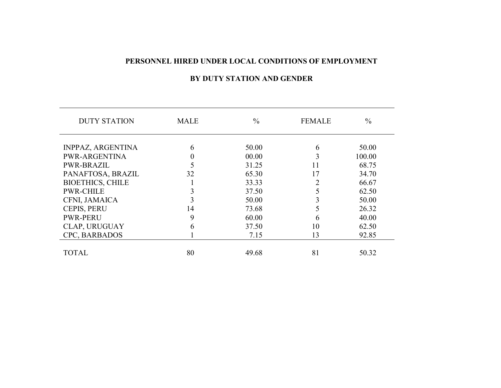### **PERSONNEL HIRED UNDER LOCAL CONDITIONS OF EMPLOYMENT**

# **BY DUTY STATION AND GENDER**

| <b>DUTY STATION</b>     | <b>MALE</b> | $\frac{0}{0}$ | <b>FEMALE</b> | $\frac{0}{0}$ |
|-------------------------|-------------|---------------|---------------|---------------|
|                         |             |               |               |               |
| INPPAZ, ARGENTINA       | 6           | 50.00         | 6             | 50.00         |
| <b>PWR-ARGENTINA</b>    |             | 00.00         |               | 100.00        |
| <b>PWR-BRAZIL</b>       |             | 31.25         | 11            | 68.75         |
| PANAFTOSA, BRAZIL       | 32          | 65.30         | 17            | 34.70         |
| <b>BIOETHICS, CHILE</b> |             | 33.33         |               | 66.67         |
| <b>PWR-CHILE</b>        |             | 37.50         |               | 62.50         |
| CFNI, JAMAICA           |             | 50.00         |               | 50.00         |
| <b>CEPIS, PERU</b>      | 14          | 73.68         |               | 26.32         |
| <b>PWR-PERU</b>         | 9           | 60.00         | 6             | 40.00         |
| <b>CLAP, URUGUAY</b>    | 6           | 37.50         | 10            | 62.50         |
| CPC, BARBADOS           |             | 7.15          | 13            | 92.85         |
|                         |             |               |               |               |
| <b>TOTAL</b>            | 80          | 49.68         | 81            | 50.32         |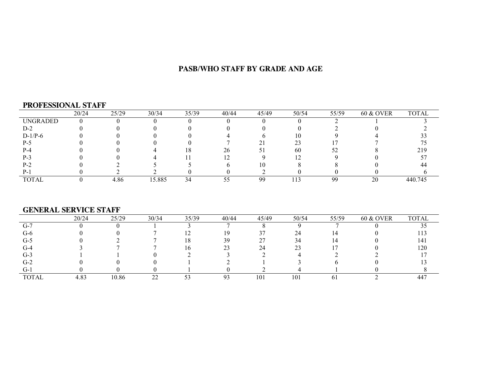# **PASB/WHO STAFF BY GRADE AND AGE**

#### **PROFESSIONAL STAFF**

|                 | 20/24 | 25/29 | 30/34  | 35/39 | 40/44 | 45/49     | 50/54 | 55/59 | <b>60 &amp; OVER</b> | <b>TOTAL</b> |
|-----------------|-------|-------|--------|-------|-------|-----------|-------|-------|----------------------|--------------|
| <b>UNGRADED</b> |       |       |        |       |       |           |       |       |                      |              |
| $D-2$           |       |       |        |       |       |           |       |       |                      |              |
| $D-1/P-6$       |       |       |        |       |       |           | 10    |       |                      |              |
| P-5             |       |       |        |       |       |           |       |       |                      |              |
| P-4             |       |       |        | ١ð    | 26    | 51        | 60    | 52    |                      | 219          |
| P-3             |       |       |        |       |       |           |       |       |                      |              |
| $P-2$           |       |       |        |       |       | 10        |       |       |                      |              |
| P-.             |       |       |        |       |       |           |       |       |                      |              |
| <b>TOTAL</b>    |       | 4.86  | 15.885 | 34    |       | <b>QQ</b> | 13    | 99    | 20                   | 440.745      |

# **GENERAL SERVICE STAFF**

|              | 20/24 | 25/29 | 30/34 | 35/39 | 40/44 | 45/49              | 50/54   | 55/59 | <b>60 &amp; OVER</b> | <b>TOTAL</b> |
|--------------|-------|-------|-------|-------|-------|--------------------|---------|-------|----------------------|--------------|
| $G-7$        |       |       |       |       |       |                    |         |       |                      |              |
| $G-6$        |       |       |       |       |       | 37                 | 24      | 14    |                      | .13          |
| $G-5$        |       |       |       | ι8    | 39    | つつ<br><u>، ، ،</u> | 34      | 14    |                      | 141          |
| $G-4$        |       |       |       | 10.   | n,    | 24                 | ີ<br>23 |       |                      | 120          |
| $G-3$        |       |       |       |       |       |                    |         |       |                      |              |
| $G-2$        |       |       |       |       |       |                    |         |       |                      |              |
| U-           |       |       |       |       |       |                    |         |       |                      |              |
| <b>TOTAL</b> | 4.83  | 10.86 | ∠∠    | ັບ    |       | 101                | 101     | 01    |                      | 447          |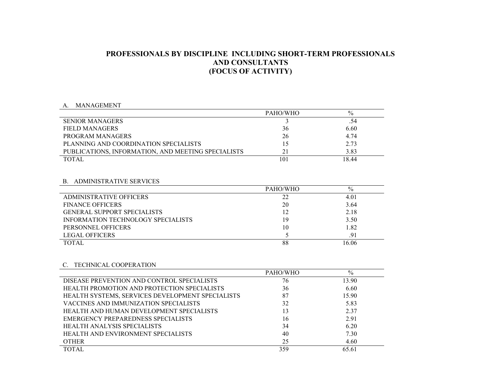# **PROFESSIONALS BY DISCIPLINE INCLUDING SHORT-TERM PROFESSIONALS AND CONSULTANTS(FOCUS OF ACTIVITY)**

#### A. MANAGEMENT

| $\mathbf{\Lambda}$<br><b>IVIAINAULIVILIN I</b>     |          |       |  |
|----------------------------------------------------|----------|-------|--|
|                                                    | PAHO/WHO | $\%$  |  |
| <b>SENIOR MANAGERS</b>                             |          |       |  |
| FIELD MANAGERS                                     | 36       | 6.60  |  |
| PROGRAM MANAGERS                                   | 26       | 4.74  |  |
| PLANNING AND COORDINATION SPECIALISTS              | 15       | 2.73  |  |
| PUBLICATIONS, INFORMATION, AND MEETING SPECIALISTS | 21       | 3.83  |  |
| <b>TOTAL</b>                                       | 101      | 18.44 |  |
|                                                    |          |       |  |

#### B. ADMINISTRATIVE SERVICES

|                                           | PAHO/WHO | $\%$  |
|-------------------------------------------|----------|-------|
| <b>ADMINISTRATIVE OFFICERS</b>            | 22       | 4.01  |
| <b>FINANCE OFFICERS</b>                   | 20       | 3.64  |
| <b>GENERAL SUPPORT SPECIALISTS</b>        | 12       | 2.18  |
| <b>INFORMATION TECHNOLOGY SPECIALISTS</b> | 19       | 3.50  |
| PERSONNEL OFFICERS                        | 10       | 1.82  |
| <b>LEGAL OFFICERS</b>                     |          | .91   |
| <b>TOTAL</b>                              | 88       | 16.06 |

#### C. TECHNICAL COOPERATION

|                                                  | PAHO/WHO | $\%$  |
|--------------------------------------------------|----------|-------|
| DISEASE PREVENTION AND CONTROL SPECIALISTS       | 76       | 13.90 |
| HEALTH PROMOTION AND PROTECTION SPECIALISTS      | 36       | 6.60  |
| HEALTH SYSTEMS, SERVICES DEVELOPMENT SPECIALISTS | 87       | 15.90 |
| VACCINES AND IMMUNIZATION SPECIALISTS            | 32       | 5.83  |
| HEALTH AND HUMAN DEVELOPMENT SPECIALISTS         | 13       | 2.37  |
| EMERGENCY PREPAREDNESS SPECIALISTS               | 16       | 2.91  |
| <b>HEALTH ANALYSIS SPECIALISTS</b>               | 34       | 6.20  |
| <b>HEALTH AND ENVIRONMENT SPECIALISTS</b>        | 40       | 7.30  |
| <b>OTHER</b>                                     | 25       | 4.60  |
| <b>TOTAL</b>                                     | 359      | 65.61 |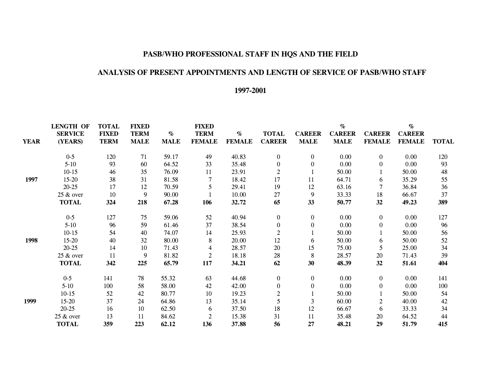# **PASB/WHO PROFESSIONAL STAFF IN HQS AND THE FIELD**

### **ANALYSIS OF PRESENT APPOINTMENTS AND LENGTH OF SERVICE OF PASB/WHO STAFF**

# **1997-2001**

| <b>LENGTH OF</b> | <b>TOTAL</b>                                                                                                                                             | <b>FIXED</b>                                                                   |                                                                      | <b>FIXED</b>                                                                                                      |                                                              |                                                                                                                   |                                                                                                                                                       | $\%$                                                                                                                     |                                                                                                               | $\%$                                                                                        |                                                                                                               |
|------------------|----------------------------------------------------------------------------------------------------------------------------------------------------------|--------------------------------------------------------------------------------|----------------------------------------------------------------------|-------------------------------------------------------------------------------------------------------------------|--------------------------------------------------------------|-------------------------------------------------------------------------------------------------------------------|-------------------------------------------------------------------------------------------------------------------------------------------------------|--------------------------------------------------------------------------------------------------------------------------|---------------------------------------------------------------------------------------------------------------|---------------------------------------------------------------------------------------------|---------------------------------------------------------------------------------------------------------------|
| <b>SERVICE</b>   | <b>FIXED</b>                                                                                                                                             | <b>TERM</b>                                                                    | $\%$                                                                 | <b>TERM</b>                                                                                                       | $\%$                                                         | <b>TOTAL</b>                                                                                                      | <b>CAREER</b>                                                                                                                                         | <b>CAREER</b>                                                                                                            | <b>CAREER</b>                                                                                                 | <b>CAREER</b>                                                                               |                                                                                                               |
| (YEARS)          | <b>TERM</b>                                                                                                                                              | <b>MALE</b>                                                                    | <b>MALE</b>                                                          | <b>FEMALE</b>                                                                                                     | <b>FEMALE</b>                                                | <b>CAREER</b>                                                                                                     | <b>MALE</b>                                                                                                                                           | <b>MALE</b>                                                                                                              | <b>FEMALE</b>                                                                                                 | <b>FEMALE</b>                                                                               | <b>TOTAL</b>                                                                                                  |
|                  |                                                                                                                                                          |                                                                                |                                                                      |                                                                                                                   |                                                              |                                                                                                                   |                                                                                                                                                       |                                                                                                                          |                                                                                                               |                                                                                             | 120                                                                                                           |
|                  |                                                                                                                                                          |                                                                                |                                                                      |                                                                                                                   |                                                              |                                                                                                                   |                                                                                                                                                       |                                                                                                                          |                                                                                                               |                                                                                             | 93                                                                                                            |
|                  |                                                                                                                                                          |                                                                                |                                                                      |                                                                                                                   |                                                              |                                                                                                                   |                                                                                                                                                       |                                                                                                                          |                                                                                                               |                                                                                             | 48                                                                                                            |
|                  |                                                                                                                                                          |                                                                                |                                                                      |                                                                                                                   |                                                              |                                                                                                                   |                                                                                                                                                       |                                                                                                                          |                                                                                                               |                                                                                             | 55                                                                                                            |
|                  |                                                                                                                                                          |                                                                                |                                                                      |                                                                                                                   |                                                              |                                                                                                                   |                                                                                                                                                       |                                                                                                                          |                                                                                                               |                                                                                             | 36                                                                                                            |
|                  |                                                                                                                                                          |                                                                                |                                                                      |                                                                                                                   |                                                              |                                                                                                                   |                                                                                                                                                       |                                                                                                                          |                                                                                                               |                                                                                             | 37                                                                                                            |
|                  |                                                                                                                                                          |                                                                                |                                                                      |                                                                                                                   |                                                              |                                                                                                                   |                                                                                                                                                       |                                                                                                                          |                                                                                                               |                                                                                             | 389                                                                                                           |
|                  |                                                                                                                                                          |                                                                                |                                                                      |                                                                                                                   |                                                              |                                                                                                                   |                                                                                                                                                       |                                                                                                                          |                                                                                                               |                                                                                             |                                                                                                               |
| $0 - 5$          | 127                                                                                                                                                      | 75                                                                             | 59.06                                                                | 52                                                                                                                | 40.94                                                        | $\mathbf{0}$                                                                                                      | $\bf{0}$                                                                                                                                              | 0.00                                                                                                                     | $\mathbf{0}$                                                                                                  | 0.00                                                                                        | 127                                                                                                           |
| $5-10$           | 96                                                                                                                                                       | 59                                                                             | 61.46                                                                | 37                                                                                                                | 38.54                                                        | $\boldsymbol{0}$                                                                                                  | $\boldsymbol{0}$                                                                                                                                      | 0.00                                                                                                                     | $\overline{0}$                                                                                                | 0.00                                                                                        | 96                                                                                                            |
| $10-15$          | 54                                                                                                                                                       | 40                                                                             | 74.07                                                                | 14                                                                                                                | 25.93                                                        | $\boldsymbol{2}$                                                                                                  |                                                                                                                                                       | 50.00                                                                                                                    |                                                                                                               | 50.00                                                                                       | 56                                                                                                            |
| 15-20            | 40                                                                                                                                                       | 32                                                                             | 80.00                                                                | 8                                                                                                                 | 20.00                                                        | 12                                                                                                                | 6                                                                                                                                                     | 50.00                                                                                                                    | 6                                                                                                             | 50.00                                                                                       | 52                                                                                                            |
| $20 - 25$        | 14                                                                                                                                                       | 10                                                                             | 71.43                                                                | 4                                                                                                                 | 28.57                                                        | $20\,$                                                                                                            | 15                                                                                                                                                    | 75.00                                                                                                                    | 5                                                                                                             | 25.00                                                                                       | 34                                                                                                            |
| 25 & over        | 11                                                                                                                                                       | 9                                                                              | 81.82                                                                | $\overline{2}$                                                                                                    | 18.18                                                        | $28\,$                                                                                                            | 8                                                                                                                                                     | 28.57                                                                                                                    | 20                                                                                                            | 71.43                                                                                       | 39                                                                                                            |
| <b>TOTAL</b>     | 342                                                                                                                                                      | 225                                                                            | 65.79                                                                | 117                                                                                                               | 34.21                                                        | 62                                                                                                                | 30                                                                                                                                                    | 48.39                                                                                                                    | 32                                                                                                            | 51.61                                                                                       | 404                                                                                                           |
|                  |                                                                                                                                                          |                                                                                |                                                                      |                                                                                                                   |                                                              |                                                                                                                   |                                                                                                                                                       |                                                                                                                          |                                                                                                               |                                                                                             | 141                                                                                                           |
|                  |                                                                                                                                                          |                                                                                |                                                                      |                                                                                                                   |                                                              |                                                                                                                   |                                                                                                                                                       |                                                                                                                          |                                                                                                               |                                                                                             | 100                                                                                                           |
|                  |                                                                                                                                                          |                                                                                |                                                                      |                                                                                                                   |                                                              |                                                                                                                   |                                                                                                                                                       |                                                                                                                          |                                                                                                               |                                                                                             | 54                                                                                                            |
|                  |                                                                                                                                                          |                                                                                |                                                                      |                                                                                                                   |                                                              |                                                                                                                   |                                                                                                                                                       |                                                                                                                          |                                                                                                               |                                                                                             | 42                                                                                                            |
|                  |                                                                                                                                                          |                                                                                |                                                                      |                                                                                                                   |                                                              |                                                                                                                   |                                                                                                                                                       |                                                                                                                          | 6                                                                                                             |                                                                                             | 34                                                                                                            |
|                  |                                                                                                                                                          | 11                                                                             |                                                                      | $\overline{2}$                                                                                                    |                                                              |                                                                                                                   |                                                                                                                                                       |                                                                                                                          | 20                                                                                                            |                                                                                             | 44                                                                                                            |
| <b>TOTAL</b>     | 359                                                                                                                                                      | 223                                                                            | 62.12                                                                | 136                                                                                                               | 37.88                                                        | 56                                                                                                                | 27                                                                                                                                                    | 48.21                                                                                                                    | 29                                                                                                            | 51.79                                                                                       | 415                                                                                                           |
|                  | $0 - 5$<br>$5 - 10$<br>$10-15$<br>$15 - 20$<br>$20 - 25$<br>25 & over<br><b>TOTAL</b><br>$0-5$<br>$5-10$<br>$10-15$<br>$15-20$<br>$20 - 25$<br>25 & over | 120<br>93<br>46<br>38<br>17<br>10<br>324<br>141<br>100<br>52<br>37<br>16<br>13 | 71<br>60<br>35<br>31<br>12<br>9<br>218<br>78<br>58<br>42<br>24<br>10 | 59.17<br>64.52<br>76.09<br>81.58<br>70.59<br>90.00<br>67.28<br>55.32<br>58.00<br>80.77<br>64.86<br>62.50<br>84.62 | 49<br>33<br>11<br>7<br>5<br>106<br>63<br>42<br>10<br>13<br>6 | 40.83<br>35.48<br>23.91<br>18.42<br>29.41<br>10.00<br>32.72<br>44.68<br>42.00<br>19.23<br>35.14<br>37.50<br>15.38 | $\mathbf{0}$<br>$\boldsymbol{0}$<br>$\overline{2}$<br>17<br>19<br>27<br>65<br>$\boldsymbol{0}$<br>$\boldsymbol{0}$<br>$\overline{2}$<br>5<br>18<br>31 | $\boldsymbol{0}$<br>$\boldsymbol{0}$<br>11<br>12<br>9<br>33<br>$\boldsymbol{0}$<br>$\boldsymbol{0}$<br>3<br>$12\,$<br>11 | 0.00<br>0.00<br>50.00<br>64.71<br>63.16<br>33.33<br>50.77<br>0.00<br>0.00<br>50.00<br>60.00<br>66.67<br>35.48 | $\overline{0}$<br>$\Omega$<br>6<br>7<br>18<br>32<br>$\overline{0}$<br>$\boldsymbol{0}$<br>2 | 0.00<br>0.00<br>50.00<br>35.29<br>36.84<br>66.67<br>49.23<br>0.00<br>0.00<br>50.00<br>40.00<br>33.33<br>64.52 |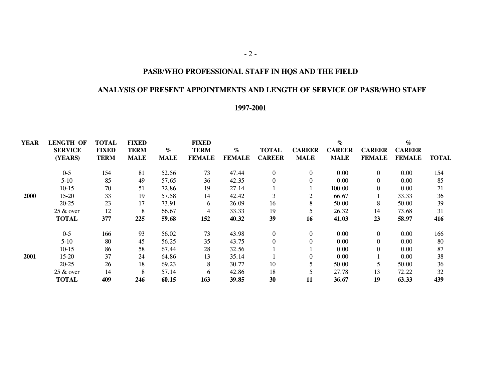# **PASB/WHO PROFESSIONAL STAFF IN HQS AND THE FIELD**

#### **ANALYSIS OF PRESENT APPOINTMENTS AND LENGTH OF SERVICE OF PASB/WHO STAFF**

#### **1997-2001**

| <b>YEAR</b> | <b>LENGTH OF</b> | <b>TOTAL</b> | <b>FIXED</b> |             | <b>FIXED</b>  |               |               |                | $\%$          |                | $\%$          |              |
|-------------|------------------|--------------|--------------|-------------|---------------|---------------|---------------|----------------|---------------|----------------|---------------|--------------|
|             | <b>SERVICE</b>   | <b>FIXED</b> | <b>TERM</b>  | $\%$        | <b>TERM</b>   | $\%$          | <b>TOTAL</b>  | <b>CAREER</b>  | <b>CAREER</b> | <b>CAREER</b>  | <b>CAREER</b> |              |
|             | (YEARS)          | <b>TERM</b>  | <b>MALE</b>  | <b>MALE</b> | <b>FEMALE</b> | <b>FEMALE</b> | <b>CAREER</b> | <b>MALE</b>    | <b>MALE</b>   | <b>FEMALE</b>  | <b>FEMALE</b> | <b>TOTAL</b> |
|             | $0 - 5$          | 154          | 81           | 52.56       | 73            | 47.44         | $\Omega$      | $\overline{0}$ | 0.00          | $\overline{0}$ | 0.00          | 154          |
|             | $5-10$           | 85           | 49           | 57.65       | 36            | 42.35         | $\mathbf{0}$  | $\overline{0}$ | 0.00          |                | 0.00          | 85           |
|             | $10-15$          | 70           | 51           | 72.86       | 19            | 27.14         |               |                | 100.00        |                | 0.00          | 71           |
| <b>2000</b> | $15-20$          | 33           | 19           | 57.58       | 14            | 42.42         |               | $\overline{2}$ | 66.67         |                | 33.33         | 36           |
|             | $20 - 25$        | 23           | 17           | 73.91       | 6             | 26.09         | 16            | 8              | 50.00         |                | 50.00         | 39           |
|             | $25 \&$ over     | 12           | 8            | 66.67       | 4             | 33.33         | 19            |                | 26.32         | 14             | 73.68         | 31           |
|             | <b>TOTAL</b>     | 377          | 225          | 59.68       | 152           | 40.32         | 39            | 16             | 41.03         | 23             | 58.97         | 416          |
|             | $0 - 5$          | 166          | 93           | 56.02       | 73            | 43.98         | $\Omega$      | $\overline{0}$ | 0.00          | $\theta$       | 0.00          | 166          |
|             | $5-10$           | 80           | 45           | 56.25       | 35            | 43.75         | $\Omega$      | $\Omega$       | 0.00          | $\theta$       | 0.00          | 80           |
|             | $10-15$          | 86           | 58           | 67.44       | 28            | 32.56         |               |                | 0.00          | $\Omega$       | 0.00          | 87           |
| 2001        | $15-20$          | 37           | 24           | 64.86       | 13            | 35.14         |               | $\Omega$       | 0.00          |                | 0.00          | 38           |
|             | $20 - 25$        | 26           | 18           | 69.23       | 8             | 30.77         | 10            |                | 50.00         |                | 50.00         | 36           |
|             | $25 \&$ over     | 14           | 8            | 57.14       | 6             | 42.86         | 18            |                | 27.78         | 13             | 72.22         | 32           |
|             | <b>TOTAL</b>     | 409          | 246          | 60.15       | 163           | 39.85         | 30            | 11             | 36.67         | 19             | 63.33         | 439          |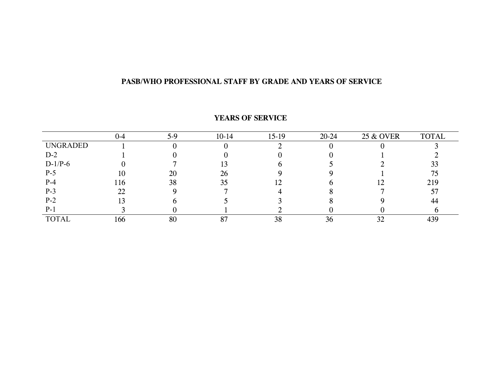# **PASB/WHO PROFESSIONAL STAFF BY GRADE AND YEARS OF SERVICE**

|                 | 0-4 | $5-9$ | $10-14$ | $15-19$ | $20 - 24$ | 25 & OVER | <b>TOTAL</b> |
|-----------------|-----|-------|---------|---------|-----------|-----------|--------------|
| <b>UNGRADED</b> |     |       |         |         |           |           |              |
| $D-2$           |     |       |         |         |           |           |              |
| $D-1/P-6$       |     |       |         |         |           |           | 33           |
| $P-5$           | 10  | 20    | 26      |         |           |           | 75           |
| $P-4$           | 116 | 38    | 35      | ╹       |           | ╹         | 219          |
| $P-3$           | 22  |       |         |         |           |           |              |
| $P-2$           |     |       |         |         |           |           | 44           |
| $P-1$           |     |       |         |         |           |           |              |
| <b>TOTAL</b>    | 166 | 80    | 87      | 38      | 36        | 30<br>ے ر | 439          |

#### **YEARS OF SERVICE**